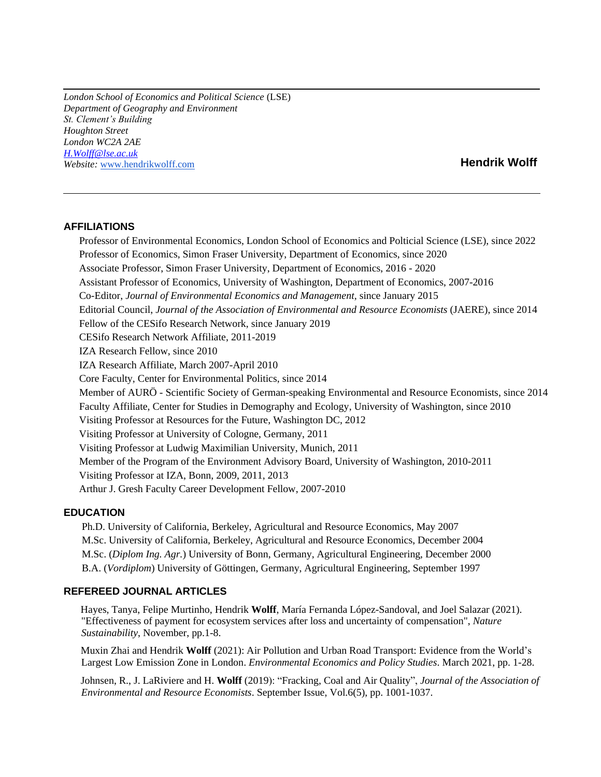*London School of Economics and Political Science* (LSE) *Department of Geography and Environment St. Clement's Building Houghton Street London WC2A 2AE [H.Wolff@lse.ac.uk](mailto:H.Wolff@lse.ac.uk) Website:* [www.hendrikwolff.com](http://www.hendrikwolff.com/) **Hendrik Wolff**

## **AFFILIATIONS**

 Professor of Environmental Economics, London School of Economics and Polticial Science (LSE), since 2022 Professor of Economics, Simon Fraser University, Department of Economics, since 2020 Associate Professor, Simon Fraser University, Department of Economics, 2016 - 2020 Assistant Professor of Economics, University of Washington, Department of Economics, 2007-2016 Co-Editor, *Journal of Environmental Economics and Management,* since January 2015 Editorial Council, *Journal of the Association of Environmental and Resource Economists* (JAERE), since 2014 Fellow of the CESifo Research Network, since January 2019 CESifo Research Network Affiliate, 2011-2019 IZA Research Fellow, since 2010 IZA Research Affiliate, March 2007-April 2010 Core Faculty, Center for Environmental Politics, since 2014 Member of AURÖ - Scientific Society of German-speaking Environmental and Resource Economists, since 2014 Faculty Affiliate, Center for Studies in Demography and Ecology, University of Washington, since 2010 Visiting Professor at Resources for the Future, Washington DC, 2012 Visiting Professor at University of Cologne, Germany, 2011 Visiting Professor at Ludwig Maximilian University, Munich, 2011 Member of the Program of the Environment Advisory Board, University of Washington, 2010-2011 Visiting Professor at IZA, Bonn, 2009, 2011, 2013 Arthur J. Gresh Faculty Career Development Fellow, 2007-2010

#### **EDUCATION**

 Ph.D. University of California, Berkeley, Agricultural and Resource Economics, May 2007 M.Sc. University of California, Berkeley, Agricultural and Resource Economics, December 2004 M.Sc. (*Diplom Ing. Agr.*) University of Bonn, Germany, Agricultural Engineering, December 2000 B.A. (*Vordiplom*) University of Göttingen, Germany, Agricultural Engineering, September 1997

#### **REFEREED JOURNAL ARTICLES**

 Hayes, Tanya, Felipe Murtinho, Hendrik **Wolff**, María Fernanda López-Sandoval, and Joel Salazar (2021). "Effectiveness of payment for ecosystem services after loss and uncertainty of compensation", *Nature Sustainability*, November, pp.1-8.

 Muxin Zhai and Hendrik **Wolff** (2021): Air Pollution and Urban Road Transport: Evidence from the World's Largest Low Emission Zone in London. *Environmental Economics and Policy Studies*. March 2021, pp. 1-28.

 Johnsen, R., J. LaRiviere and H. **Wolff** (2019): "Fracking, Coal and Air Quality", *Journal of the Association of Environmental and Resource Economists*. September Issue, Vol.6(5), pp. 1001-1037.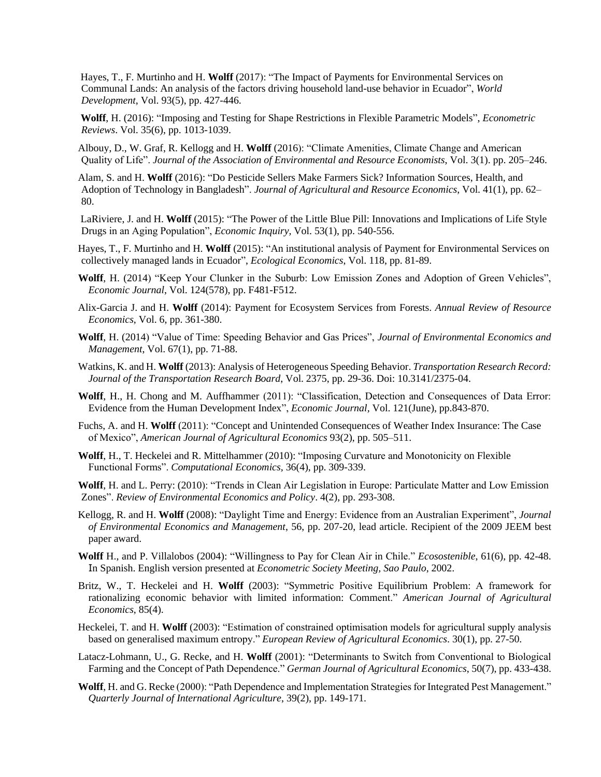Hayes, T., F. Murtinho and H. **Wolff** (2017): "The Impact of Payments for Environmental Services on Communal Lands: An analysis of the factors driving household land-use behavior in Ecuador", *World Development*, Vol. 93(5), pp. 427-446.

 **Wolff**, H. (2016): "Imposing and Testing for Shape Restrictions in Flexible Parametric Models", *Econometric Reviews*. Vol. 35(6), pp. 1013-1039.

 Albouy, D., W. Graf, R. Kellogg and H. **Wolff** (2016): "Climate Amenities, Climate Change and American Quality of Life". *Journal of the Association of Environmental and Resource Economists*, Vol. 3(1). pp. 205–246.

 Alam, S. and H. **Wolff** (2016): ["Do Pesticide Sellers Make Farmers Sick? Information Sources, Health, and](http://faculty.washington.edu/hgwolff/AlamWolff.pdf)  [Adoption of Technology in Bangladesh"](http://faculty.washington.edu/hgwolff/AlamWolff.pdf). *Journal of Agricultural and Resource Economics*, Vol. 41(1), pp. 62– 80.

 LaRiviere, J. and H. **Wolff** (2015): "The Power of the Little Blue Pill: Innovations and Implications of Life Style Drugs in an Aging Population", *Economic Inquiry,* Vol. 53(1), pp. 540-556.

 Hayes, T., F. Murtinho and H. **Wolff** (2015): "An institutional analysis of Payment for Environmental Services on collectively managed lands in Ecuador", *Ecological Economics*, Vol. 118, pp. 81-89.

- **Wolff**, H. (2014) "Keep Your Clunker in the Suburb: Low Emission Zones and Adoption of Green Vehicles", *Economic Journal*, Vol. 124(578), pp. F481-F512.
- Alix-Garcia J. and H. **Wolff** (2014): Payment for Ecosystem Services from Forests. *Annual Review of Resource Economics*, Vol. 6, pp. 361-380.
- **Wolff**, H. (2014) "Value of Time: Speeding Behavior and Gas Prices", *Journal of Environmental Economics and Management*, Vol. 67(1), pp. 71-88.
- Watkins, K. and H. **Wolff** (2013): Analysis of Heterogeneous Speeding Behavior. *Transportation Research Record: Journal of the Transportation Research Board*, Vol. 2375, pp. 29-36. Doi: 10.3141/2375-04.
- **Wolff**, H., H. Chong and M. Auffhammer (2011): "Classification, Detection and Consequences of Data Error: Evidence from the Human Development Index", *Economic Journal,* Vol. 121(June), pp.843-870.
- Fuchs, A. and H. **Wolff** (2011): "Concept and Unintended Consequences of Weather Index Insurance: The Case of Mexico", *[American Journal of Agricultural Econo](http://www.aaea.org/fund/pubs/ajae/)mics* 93(2), pp. 505–511.
- **Wolff**, H., T. Heckelei and R. Mittelhammer (2010): "Imposing Curvature and Monotonicity on Flexible Functional Forms". *Computational Economics,* 36(4), pp. 309-339.

 **Wolff**, H. and L. Perry: (2010): "Trends in Clean Air Legislation in Europe: Particulate Matter and Low [Emission](http://faculty.washington.edu/hgwolff/REEP%20Dec1%20Wolff%20Perry.pdf)  [Zones"](http://faculty.washington.edu/hgwolff/REEP%20Dec1%20Wolff%20Perry.pdf). *Review of Environmental Economics and Policy*. 4(2), pp. 293-308.

- Kellogg, R. and H. **Wolff** (2008): "Daylight Time and Energy: Evidence from an Australian Experiment", *Journal of Environmental Economics and Management*, 56, pp. 207-20, lead article. Recipient of the 2009 JEEM best paper award.
- **Wolff** H., and P. Villalobos (2004): "Willingness to Pay for Clean Air in Chile." *Ecosostenible*, 61(6), pp. 42-48. In Spanish. English version presented at *Econometric Society Meeting, Sao Paulo*, 2002.
- Britz, W., T. Heckelei and H. **Wolff** (2003): "Symmetric Positive Equilibrium Problem: A framework for rationalizing economic behavior with limited information: Comment." *[American Journal of Agricultural](http://www.aaea.org/fund/pubs/ajae/)  [Econo](http://www.aaea.org/fund/pubs/ajae/)mics*, 85(4).
- Heckelei, T. and H. **Wolff** (2003): "Estimation of constrained optimisation models for agricultural supply analysis based on generalised maximum entropy." *[European Review of Agricultural Economics](http://erae.oupjournals.org/)*. 30(1), pp. 27-50.
- Latacz-Lohmann, U., G. Recke, and H. **Wolff** (2001): "Determinants to Switch from Conventional to Biological Farming and the Concept of Path Dependence." *[German Journal of Agricultural Economics](http://www.agroonline.de/agrarwirtschaft/index.html)*, 50(7), pp. 433-438.
- **Wolff**, H. and G. Recke (2000): "Path Dependence and Implementation Strategies for Integrated Pest Management." *[Quarterly Journal of International Agriculture](http://www.agrar.hu-berlin.de/qjia/)*, 39(2), pp. 149-171.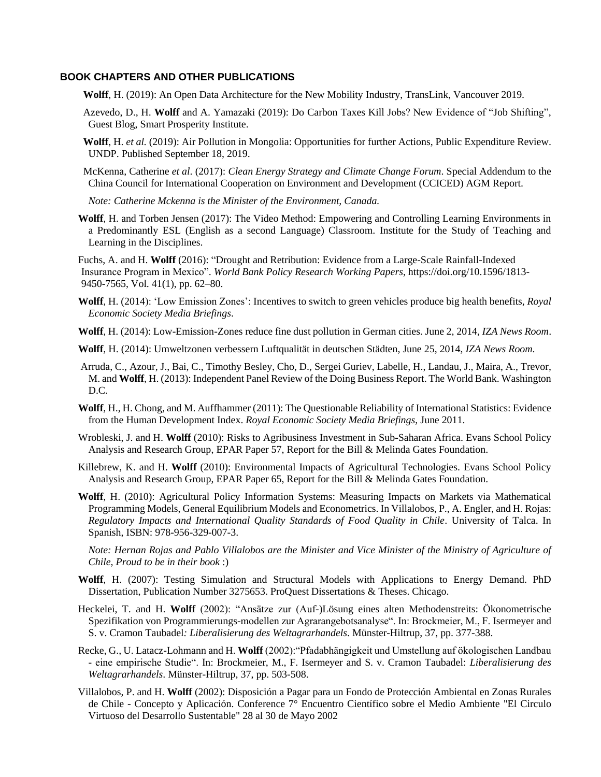## **BOOK CHAPTERS AND OTHER PUBLICATIONS**

- **Wolff**, H. (2019): An Open Data Architecture for the New Mobility Industry, TransLink, Vancouver 2019.
- Azevedo, D., H. **Wolff** and A. Yamazaki (2019): Do Carbon Taxes Kill Jobs? New Evidence of "Job Shifting", Guest Blog, Smart Prosperity Institute.
- **Wolff**, H. *et al.* (2019): Air Pollution in Mongolia: Opportunities for further Actions, Public Expenditure Review. UNDP. Published September 18, 2019.
- McKenna, Catherine *et al*. (2017): *Clean Energy Strategy and Climate Change Forum*. Special Addendum to the China Council for International Cooperation on Environment and Development (CCICED) AGM Report.

*Note: Catherine Mckenna is the Minister of the Environment, Canada.* 

 **Wolff**, H. and Torben Jensen (2017): The Video Method: Empowering and Controlling Learning Environments in a Predominantly ESL (English as a second Language) Classroom. Institute for the Study of Teaching and Learning in the Disciplines.

 Fuchs, A. and H. **Wolff** (2016): "Drought and Retribution: Evidence from a Large-Scale Rainfall-Indexed Insurance Program in Mexico". *World Bank Policy Research Working Papers*, [https://doi.org/10.1596/1813-](https://doi.org/10.1596/1813-9450-7565) [9450-7565,](https://doi.org/10.1596/1813-9450-7565) Vol. 41(1), pp. 62–80.

- **Wolff**, H. (2014): 'Low Emission Zones': Incentives to switch to green vehicles produce big health benefits, *Royal Economic Society Media Briefings*.
- **Wolff**, H. (2014): Low-Emission-Zones reduce fine dust pollution in German cities. June 2, 2014, *IZA News Room*.
- **Wolff**, H. (2014): Umweltzonen verbessern Luftqualität in deutschen Städten, June 25, 2014, *IZA News Room*.
- Arruda, C., Azour, J., Bai, C., Timothy Besley, Cho, D., Sergei Guriev, Labelle, H., Landau, J., Maira, A., Trevor, M. and **Wolff**, H. (2013)[: Independent Panel Review of the Doing Business Report.](http://faculty.washington.edu/hgwolff/Doing%20business%20review%20panel%20report%20with%20signatures%20and%20Bibliography.pdf) The World Bank. Washington D.C.
- **Wolff**, H., H. Chong, and M. Auffhammer (2011): The Questionable Reliability of International Statistics: Evidence from the Human Development Index. *Royal Economic Society Media Briefings*, June 2011.
- Wrobleski, J. and H. **Wolff** (2010): [Risks to Agribusiness Investment in Sub-Saharan Africa.](http://faculty.washington.edu/hgwolff/Agribusiness%20and%20Investment%20Risks_12%20February%202010.pdf) Evans School Policy Analysis and Research Group, EPAR Paper 57, Report for the Bill & Melinda Gates Foundation.
- Killebrew, K. and H. **Wolff** (2010): Environmental Impacts of Agricultural Technologies. Evans School Policy Analysis and Research Group, EPAR Paper 65, Report for the Bill & Melinda Gates Foundation.
- **Wolff**, H. (2010): Agricultural Policy Information Systems: Measuring Impacts on Markets via Mathematical Programming Models, General Equilibrium Models and Econometrics. In Villalobos, P., A. Engler, and H. Rojas: *Regulatory Impacts and International Quality Standards of Food Quality in Chile*. University of Talca. In Spanish, ISBN: 978-956-329-007-3.

*Note: Hernan Rojas and Pablo Villalobos are the Minister and Vice Minister of the Ministry of Agriculture of Chile, Proud to be in their book* :)

- **Wolff**, H. (2007): Testing Simulation and Structural Models with Applications to Energy Demand. PhD Dissertation, Publication Number 3275653. ProQuest Dissertations & Theses. Chicago.
- Heckelei, T. and H. **Wolff** (2002): "Ansätze zur (Auf-)Lösung eines alten Methodenstreits: Ökonometrische Spezifikation von Programmierungs-modellen zur Agrarangebotsanalyse". In: Brockmeier, M., F. Isermeyer and S. v. Cramon Taubadel*: Liberalisierung des Weltagrarhandels*. Münster-Hiltrup, 37, pp. 377-388.
- Recke, G., U. Latacz-Lohmann and H. **Wolff** (2002):"Pfadabhängigkeit und Umstellung auf ökologischen Landbau - eine empirische Studie". In: Brockmeier, M., F. Isermeyer and S. v. Cramon Taubadel: *Liberalisierung des Weltagrarhandels*. Münster-Hiltrup, 37, pp. 503-508.
- Villalobos, P. and H. **Wolff** (2002): Disposición a Pagar para un Fondo de Protección Ambiental en Zonas Rurales de Chile - Concepto y Aplicación. Conference [7° Encuentro Científico sobre el Medio Ambiente](http://www.cipma.cl/) "El Circulo Virtuoso del Desarrollo Sustentable" 28 al 30 de Mayo 2002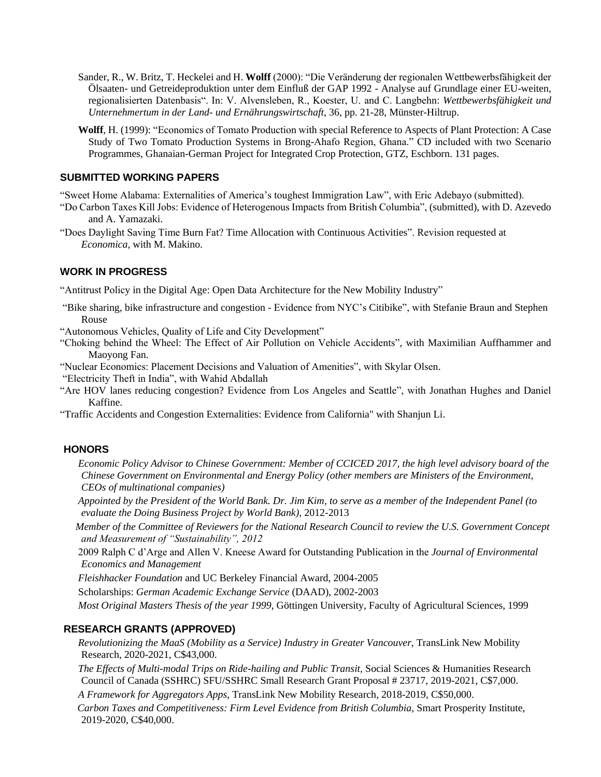- Sander, R., W. Britz, T. Heckelei and H. **Wolff** (2000): "Die Veränderung der regionalen Wettbewerbsfähigkeit der Ölsaaten- und Getreideproduktion unter dem Einfluß der GAP 1992 - Analyse auf Grundlage einer EU-weiten, regionalisierten Datenbasis". In: V. Alvensleben, R., Koester, U. and C. Langbehn: *Wettbewerbsfähigkeit und Unternehmertum in der Land- und Ernährungswirtschaft*, 36, pp. 21-28, Münster-Hiltrup.
- **Wolff**, H. (1999): "Economics of Tomato Production with special Reference to Aspects of Plant Protection: A Case Study of Two Tomato Production Systems in Brong-Ahafo Region, Ghana." CD included with two Scenario Programmes, Ghanaian-German Project for Integrated Crop Protection, GTZ, Eschborn. 131 pages.

## **SUBMITTED WORKING PAPERS**

"Sweet Home Alabama: Externalities of America's toughest Immigration Law", with Eric Adebayo (submitted).

- "Do Carbon Taxes Kill Jobs: Evidence of Heterogenous Impacts from British Columbia", (submitted), with D. Azevedo and A. Yamazaki.
- "Does Daylight Saving Time Burn Fat? Time Allocation with Continuous Activities". Revision requested at *Economica*, with M. Makino.

## **WORK IN PROGRESS**

"Antitrust Policy in the Digital Age: Open Data Architecture for the New Mobility Industry"

- "Bike sharing, bike infrastructure and congestion Evidence from NYC's Citibike", with Stefanie Braun and Stephen Rouse
- "Autonomous Vehicles, Quality of Life and City Development"
- "Choking behind the Wheel: The Effect of Air Pollution on Vehicle Accidents", with Maximilian Auffhammer and Maoyong Fan.
- "Nuclear Economics: Placement Decisions and Valuation of Amenities", with Skylar Olsen.

"Electricity Theft in India", with Wahid Abdallah

- "Are HOV lanes reducing congestion? Evidence from Los Angeles and Seattle", with Jonathan Hughes and Daniel Kaffine.
- "Traffic Accidents and Congestion Externalities: Evidence from California" with Shanjun Li.

## **HONORS**

- *Economic Policy Advisor to Chinese Government: Member of CCICED 2017, the high level advisory board of the Chinese Government on Environmental and Energy Policy (other members are Ministers of the Environment, CEOs of multinational companies)*
- *Appointed by the President of the World Bank. Dr. Jim Kim, to serve as a member of the Independent Panel (to evaluate the Doing Business Project by World Bank),* 2012-2013
- *Member of the Committee of Reviewers for the National Research Council to review the U.S. Government Concept and Measurement of "Sustainability", 2012*
- 2009 Ralph C d'Arge and Allen V. Kneese Award for Outstanding Publication in the *Journal of Environmental Economics and Management*

*Fleishhacker Foundation* and UC Berkeley Financial Award, 2004-2005

Scholarships: *German Academic Exchange Service* (DAAD), 2002-2003

*Most Original Masters Thesis of the year 1999*, Göttingen University, Faculty of Agricultural Sciences, 1999

#### **RESEARCH GRANTS (APPROVED)**

 *Revolutionizing the MaaS (Mobility as a Service) Industry in Greater Vancouver*, TransLink New Mobility Research, 2020-2021, C\$43,000.

 *The Effects of Multi-modal Trips on Ride-hailing and Public Transit,* Social Sciences & Humanities Research Council of Canada (SSHRC) SFU/SSHRC Small Research Grant Proposal # 23717*,* 2019-2021, C\$7,000.

 *A Framework for Aggregators Apps*, TransLink New Mobility Research, 2018-2019, C\$50,000.

*Carbon Taxes and Competitiveness: Firm Level Evidence from British Columbia*, Smart Prosperity Institute, 2019-2020, C\$40,000.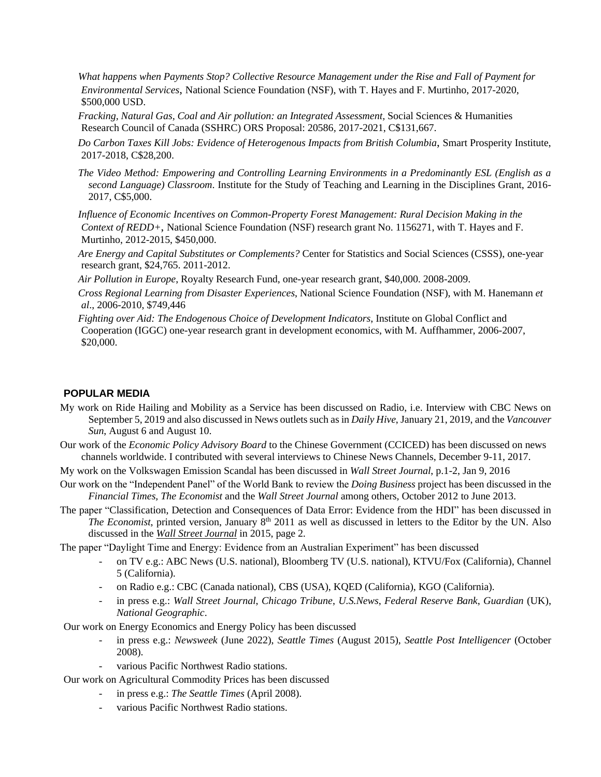*What happens when Payments Stop? Collective Resource Management under the Rise and Fall of Payment for Environmental Services*, National Science Foundation (NSF), with T. Hayes and F. Murtinho, 2017-2020, \$500,000 USD.

 *Fracking, Natural Gas, Coal and Air pollution: an Integrated Assessment,* Social Sciences & Humanities Research Council of Canada (SSHRC) ORS Proposal: 20586*,* 2017-2021, C\$131,667.

 *Do Carbon Taxes Kill Jobs: Evidence of Heterogenous Impacts from British Columbia*, Smart Prosperity Institute, 2017-2018, C\$28,200.

 *The Video Method: Empowering and Controlling Learning Environments in a Predominantly ESL (English as a second Language) Classroom*. Institute for the Study of Teaching and Learning in the Disciplines Grant, 2016- 2017, C\$5,000.

 *Influence of Economic Incentives on Common-Property Forest Management: Rural Decision Making in the Context of REDD+*, National Science Foundation (NSF) research grant No. 1156271, with T. Hayes and F. Murtinho, 2012-2015, \$450,000.

 *Are Energy and Capital Substitutes or Complements?* Center for Statistics and Social Sciences (CSSS), one-year research grant, \$24,765. 2011-2012.

*Air Pollution in Europe*, Royalty Research Fund, one-year research grant, \$40,000. 2008-2009.

 *Cross Regional Learning from Disaster Experiences*, National Science Foundation (NSF), with M. Hanemann *et al*., 2006-2010, \$749,446

 *Fighting over Aid: The Endogenous Choice of Development Indicators*, Institute on Global Conflict and Cooperation (IGGC) one-year research grant in development economics, with M. Auffhammer, 2006-2007, \$20,000.

#### **POPULAR MEDIA**

- My work on Ride Hailing and Mobility as a Service has been discussed on Radio, i.e. Interview with CBC News on September 5, 2019 and also discussed in News outlets such as in *Daily Hive*, January 21, 2019, and the *Vancouver Sun*, August 6 and August 10.
- Our work of the *Economic Policy Advisory Board* to the Chinese Government (CCICED) has been discussed on news channels worldwide. I contributed with several interviews to Chinese News Channels, December 9-11, 2017.

My work on the Volkswagen Emission Scandal has been discussed in *Wall Street Journal*, p.1-2, Jan 9, 2016

- Our work on the "Independent Panel" of the World Bank to review the *Doing Business* project has been discussed in the *Financial Times, The Economist* and the *Wall Street Journal* among others*,* October 2012 to June 2013.
- The paper "Classification, Detection and Consequences of Data Error: Evidence from the HDI" has been discussed in The Economist, printed version, January 8<sup>th</sup> 2011 as well as discussed in letters to the Editor by the UN. Also discussed in the *Wall Street Journal* in 2015, page 2.

The paper "Daylight Time and Energy: Evidence from an Australian Experiment" has been discussed

- on TV e.g.: ABC News (U.S. national), Bloomberg TV (U.S. national), KTVU/Fox (California), Channel 5 (California).
- on Radio e.g.: CBC (Canada national), CBS (USA), KQED (California), KGO (California).
- in press e.g.: *Wall Street Journal*, *Chicago Tribune*, *U.S.News*, *Federal Reserve Bank*, *Guardian* (UK), *National Geographic*.

Our work on Energy Economics and Energy Policy has been discussed

- in press e.g.: *Newsweek* (June 2022), *Seattle Times* (August 2015), *Seattle Post Intelligencer* (October 2008).
- various Pacific Northwest Radio stations.

Our work on Agricultural Commodity Prices has been discussed

- in press e.g.: *The Seattle Times* (April 2008).
- various Pacific Northwest Radio stations.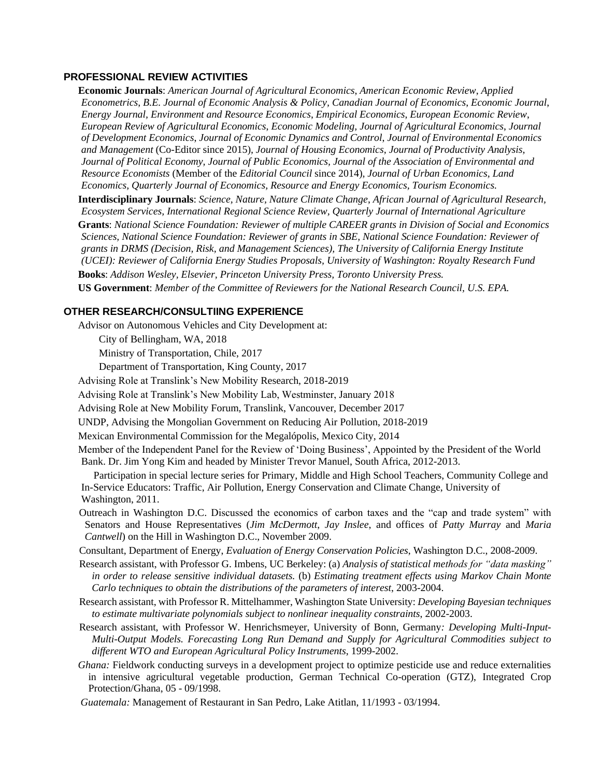#### **PROFESSIONAL REVIEW ACTIVITIES**

 **Economic Journals**: *American Journal of Agricultural Economics*, *American Economic Review*, *Applied Econometrics*, *B.E. Journal of Economic Analysis & Policy, Canadian Journal of Economics*, *Economic Journal*, *Energy Journal, Environment and Resource Economics*, *Empirical Economics*, *European Economic Review*, *European Review of Agricultural Economics*, *Economic Modeling, Journal of Agricultural Economics*, *Journal of Development Economics*, *Journal of Economic Dynamics and Control*, *Journal of Environmental Economics and Management* (Co-Editor since 2015)*, Journal of Housing Economics, Journal of Productivity Analysis, Journal of Political Economy, Journal of Public Economics, Journal of the Association of Environmental and Resource Economists* (Member of the *Editorial Council* since 2014)*, Journal of Urban Economics, Land Economics, Quarterly Journal of Economics, Resource and Energy Economics, Tourism Economics.*  **Interdisciplinary Journals**: *Science, Nature, Nature Climate Change*, *African Journal of Agricultural Research, Ecosystem Services, International Regional Science Review, Quarterly Journal of International Agriculture* **Grants**: *National Science Foundation: Reviewer of multiple CAREER grants in Division of Social and Economics Sciences, National Science Foundation: Reviewer of grants in SBE, National Science Foundation: Reviewer of grants in DRMS (Decision, Risk, and Management Sciences), The University of California Energy Institute (UCEI): Reviewer of California Energy Studies Proposals, University of Washington: Royalty Research Fund* **Books**: *Addison Wesley, Elsevier, Princeton University Press, Toronto University Press.*  **US Government**: *Member of the Committee of Reviewers for the National Research Council, U.S. EPA.*

#### **OTHER RESEARCH/CONSULTIING EXPERIENCE**

Advisor on Autonomous Vehicles and City Development at:

City of Bellingham, WA, 2018

Ministry of Transportation, Chile, 2017

Department of Transportation, King County, 2017

Advising Role at Translink's New Mobility Research, 2018-2019

Advising Role at Translink's New Mobility Lab, Westminster, January 2018

Advising Role at New Mobility Forum, Translink, Vancouver, December 2017

UNDP, Advising the Mongolian Government on Reducing Air Pollution, 2018-2019

Mexican Environmental Commission for the Megalópolis, Mexico City, 2014

 Member of the Independent Panel for the Review of 'Doing Business', Appointed by the President of the World Bank. Dr. Jim Yong Kim and headed by Minister Trevor Manuel, South Africa, 2012-2013.

 Participation in special lecture series for Primary, Middle and High School Teachers, Community College and In-Service Educators: Traffic, Air Pollution, Energy Conservation and Climate Change, University of Washington, 2011.

 Outreach in Washington D.C. Discussed the economics of carbon taxes and the "cap and trade system" with Senators and House Representatives (*Jim McDermott*, *Jay Inslee*, and offices of *Patty Murray* and *Maria Cantwell*) on the Hill in Washington D.C., November 2009.

Consultant, Department of Energy, *Evaluation of Energy Conservation Policies*, Washington D.C., 2008-2009.

- Research assistant, with Professor G. Imbens, UC Berkeley: (a) *Analysis of statistical methods for "data masking" in order to release sensitive individual datasets.* (b) *Estimating treatment effects using Markov Chain Monte Carlo techniques to obtain the distributions of the parameters of interest*, 2003-2004.
- Research assistant, with Professor R. Mittelhammer, Washington State University: *Developing Bayesian techniques to estimate multivariate polynomials subject to nonlinear inequality constraints*, 2002-2003.
- Research assistant, with Professor W. Henrichsmeyer, University of Bonn, Germany*: Developing Multi-Input-Multi-Output Models. Forecasting Long Run Demand and Supply for Agricultural Commodities subject to different WTO and European Agricultural Policy Instruments*, 1999-2002.
- *Ghana:* Fieldwork conducting surveys in a development project to optimize pesticide use and reduce externalities in intensive agricultural vegetable production, German Technical Co-operation (GTZ), Integrated Crop Protection/Ghana, 05 - 09/1998.
- *Guatemala:* Management of Restaurant in San Pedro, Lake Atitlan, 11/1993 03/1994.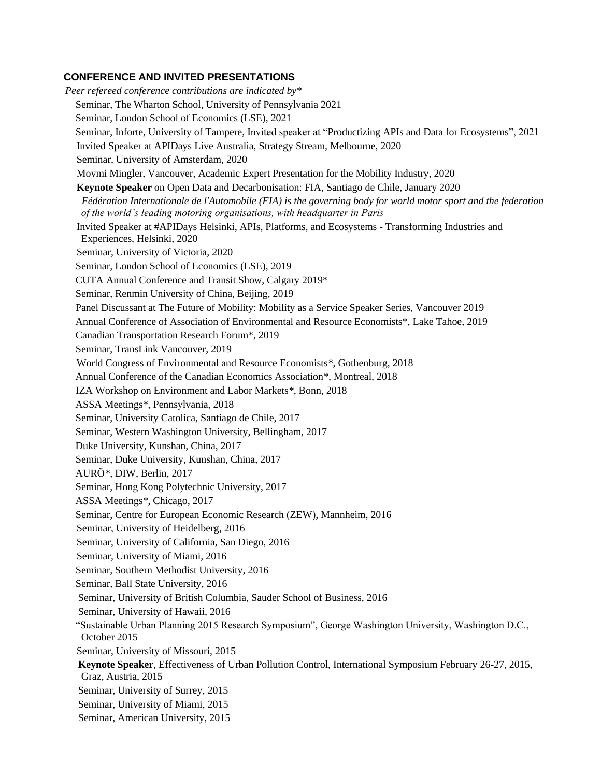## **CONFERENCE AND INVITED PRESENTATIONS**

 *Peer refereed conference contributions are indicated by\** Seminar, The Wharton School, University of Pennsylvania 2021 Seminar, London School of Economics (LSE), 2021 Seminar, Inforte, University of Tampere, Invited speaker at "Productizing APIs and Data for Ecosystems", 2021 Invited Speaker at APIDays Live Australia, Strategy Stream, Melbourne, 2020 Seminar, University of Amsterdam, 2020 Movmi Mingler, Vancouver, Academic Expert Presentation for the Mobility Industry, 2020 **Keynote Speaker** on Open Data and Decarbonisation: FIA, Santiago de Chile, January 2020  *Fédération Internationale de l'Automobile (FIA) is the governing body for world motor sport and the federation of the world's leading motoring organisations, with headquarter in Paris* Invited Speaker at #APIDays Helsinki, APIs, Platforms, and Ecosystems - Transforming Industries and Experiences, Helsinki, 2020 Seminar, University of Victoria, 2020 Seminar, London School of Economics (LSE), 2019 CUTA Annual Conference and Transit Show, Calgary 2019\* Seminar, Renmin University of China, Beijing, 2019 Panel Discussant at The Future of Mobility: Mobility as a Service Speaker Series, Vancouver 2019 Annual Conference of Association of Environmental and Resource Economists\*, Lake Tahoe, 2019 Canadian Transportation Research Forum\*, 2019 Seminar, TransLink Vancouver, 2019 World Congress of Environmental and Resource Economists*\**, Gothenburg, 2018 Annual Conference of the Canadian Economics Association*\**, Montreal, 2018 IZA Workshop on Environment and Labor Markets*\**, Bonn, 2018 ASSA Meetings*\**, Pennsylvania, 2018 Seminar, University Catolica, Santiago de Chile, 2017 Seminar, Western Washington University, Bellingham, 2017 Duke University, Kunshan, China, 2017 Seminar, Duke University, Kunshan, China, 2017 AURÖ*\**, DIW, Berlin, 2017 Seminar, Hong Kong Polytechnic University, 2017 ASSA Meetings*\**, Chicago, 2017 Seminar, Centre for European Economic Research (ZEW), Mannheim, 2016 Seminar, University of Heidelberg, 2016 Seminar, University of California, San Diego, 2016 Seminar, University of Miami, 2016 Seminar, Southern Methodist University, 2016 Seminar, Ball State University, 2016 Seminar, University of British Columbia, Sauder School of Business, 2016 Seminar, University of Hawaii, 2016 "Sustainable Urban Planning 2015 Research Symposium", George Washington University, Washington D.C., October 2015 Seminar, University of Missouri, 2015 **Keynote Speaker**, Effectiveness of Urban Pollution Control, International Symposium February 26-27, 2015, Graz, Austria, 2015 Seminar, University of Surrey, 2015 Seminar, University of Miami, 2015 Seminar, American University, 2015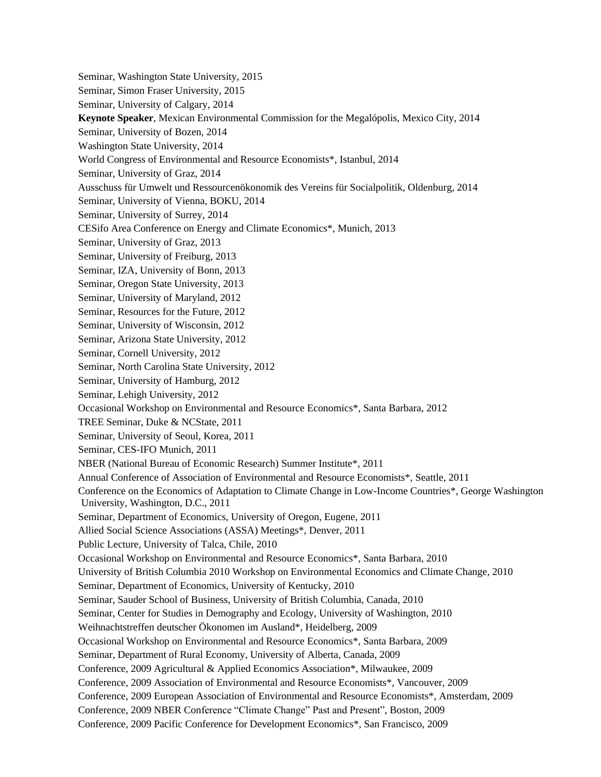Seminar, Washington State University, 2015 Seminar, Simon Fraser University, 2015 Seminar, University of Calgary, 2014 **Keynote Speaker**, Mexican Environmental Commission for the Megalópolis, Mexico City, 2014 Seminar, University of Bozen, 2014 Washington State University, 2014 World Congress of Environmental and Resource Economists\*, Istanbul, 2014 Seminar, University of Graz, 2014 Ausschuss für Umwelt und Ressourcenökonomik des Vereins für Socialpolitik, Oldenburg, 2014 Seminar, University of Vienna, BOKU, 2014 Seminar, University of Surrey, 2014 CESifo Area Conference on Energy and Climate Economics\*, Munich, 2013 Seminar, University of Graz, 2013 Seminar, University of Freiburg, 2013 Seminar, IZA, University of Bonn, 2013 Seminar, Oregon State University, 2013 Seminar, University of Maryland, 2012 Seminar, Resources for the Future, 2012 Seminar, University of Wisconsin, 2012 Seminar, Arizona State University, 2012 Seminar, Cornell University, 2012 Seminar, North Carolina State University, 2012 Seminar, University of Hamburg, 2012 Seminar, Lehigh University, 2012 Occasional Workshop on Environmental and Resource Economics\*, Santa Barbara, 2012 TREE Seminar, Duke & NCState, 2011 Seminar, University of Seoul, Korea, 2011 Seminar, CES-IFO Munich, 2011 NBER (National Bureau of Economic Research) Summer Institute\*, 2011 Annual Conference of Association of Environmental and Resource Economists\*, Seattle, 2011 Conference on the Economics of Adaptation to Climate Change in Low-Income Countries\*, George Washington University, Washington, D.C., 2011 Seminar, Department of Economics, University of Oregon, Eugene, 2011 Allied Social Science Associations (ASSA) Meetings\*, Denver, 2011 Public Lecture, University of Talca, Chile, 2010 Occasional Workshop on Environmental and Resource Economics\*, Santa Barbara, 2010 University of British Columbia 2010 Workshop on Environmental Economics and Climate Change, 2010 Seminar, Department of Economics, University of Kentucky, 2010 Seminar, Sauder School of Business, University of British Columbia, Canada, 2010 Seminar, Center for Studies in Demography and Ecology, University of Washington, 2010 Weihnachtstreffen deutscher Ökonomen im Ausland\*, Heidelberg, 2009 Occasional Workshop on Environmental and Resource Economics\*, Santa Barbara, 2009 Seminar, Department of Rural Economy, University of Alberta, Canada, 2009 Conference, 2009 Agricultural & Applied Economics Association\*, Milwaukee, 2009 Conference, 2009 Association of Environmental and Resource Economists\*, Vancouver, 2009 Conference, 2009 European Association of Environmental and Resource Economists\*, Amsterdam, 2009 Conference, 2009 NBER Conference "Climate Change" Past and Present", Boston, 2009 Conference, 2009 Pacific Conference for Development Economics\*, San Francisco, 2009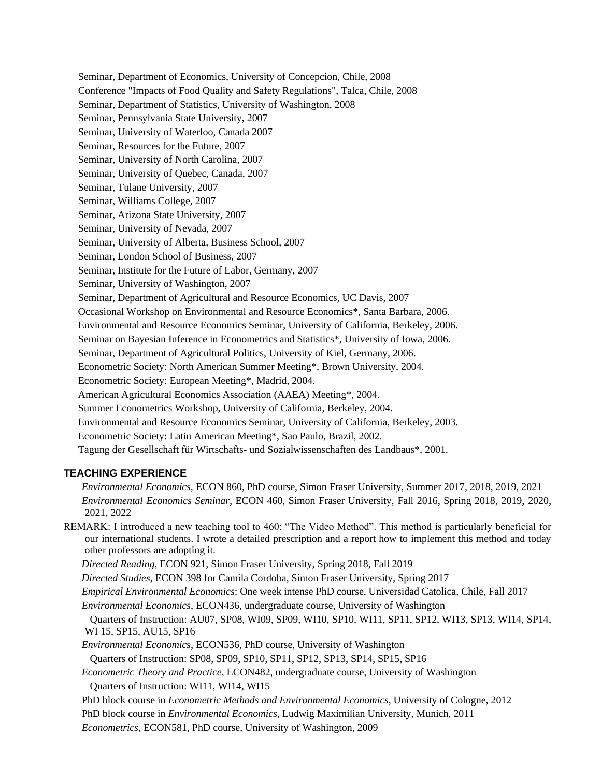Seminar, Department of Economics, University of Concepcion, Chile, 2008 Conference "Impacts of Food Quality and Safety Regulations", Talca, Chile, 2008 Seminar, Department of Statistics, University of Washington, 2008 Seminar, Pennsylvania State University, 2007 Seminar, University of Waterloo, Canada 2007 Seminar, Resources for the Future, 2007 Seminar, University of North Carolina, 2007 Seminar, University of Quebec, Canada, 2007 Seminar, Tulane University, 2007 Seminar, Williams College, 2007 Seminar, Arizona State University, 2007 Seminar, University of Nevada, 2007 Seminar, University of Alberta, Business School, 2007 Seminar, London School of Business, 2007 Seminar, Institute for the Future of Labor, Germany, 2007 Seminar, University of Washington, 2007 Seminar, Department of Agricultural and Resource Economics, UC Davis, 2007 Occasional Workshop on Environmental and Resource Economics\*, Santa Barbara, 2006. Environmental and Resource Economics Seminar, University of California, Berkeley, 2006. Seminar on Bayesian Inference in Econometrics and Statistics\*, University of Iowa, 2006. Seminar, Department of Agricultural Politics, University of Kiel, Germany, 2006. Econometric Society: North American Summer Meeting\*, Brown University, 2004. Econometric Society: European Meeting\*, Madrid, 2004. American Agricultural Economics Association (AAEA) Meeting\*, 2004. Summer Econometrics Workshop, University of California, Berkeley, 2004. Environmental and Resource Economics Seminar, University of California, Berkeley, 2003. Econometric Society: Latin American Meeting\*, Sao Paulo, Brazil, 2002. Tagung der Gesellschaft für Wirtschafts- und Sozialwissenschaften des Landbaus\*, 2001.

## **TEACHING EXPERIENCE**

 *Environmental Economics,* ECON 860, PhD course, Simon Fraser University, Summer 2017, 2018, 2019, 2021  *Environmental Economics Seminar,* ECON 460, Simon Fraser University, Fall 2016, Spring 2018, 2019, 2020, 2021, 2022

REMARK: I introduced a new teaching tool to 460: "The Video Method". This method is particularly beneficial for our international students. I wrote a detailed prescription and a report how to implement this method and today other professors are adopting it.

 *Directed Reading,* ECON 921, Simon Fraser University, Spring 2018, Fall 2019

 *Directed Studies,* ECON 398 for Camila Cordoba, Simon Fraser University, Spring 2017

 *Empirical Environmental Economics*: One week intense PhD course, Universidad Catolica, Chile, Fall 2017

 *Environmental Economics*, ECON436, undergraduate course, University of Washington

Quarters of Instruction: AU07, SP08, WI09, SP09, WI10, SP10, WI11, SP11, SP12, WI13, SP13, WI14, SP14, WI 15, SP15, AU15, SP16

*Environmental Economics*, ECON536, PhD course, University of Washington

Quarters of Instruction: SP08, SP09, SP10, SP11, SP12, SP13, SP14, SP15, SP16

 *Econometric Theory and Practice*, ECON482, undergraduate course, University of Washington Quarters of Instruction: WI11, WI14, WI15

PhD block course in *Econometric Methods and Environmental Economics*, University of Cologne, 2012

PhD block course in *Environmental Economics*, Ludwig Maximilian University, Munich, 2011

*Econometrics*, ECON581, PhD course, University of Washington, 2009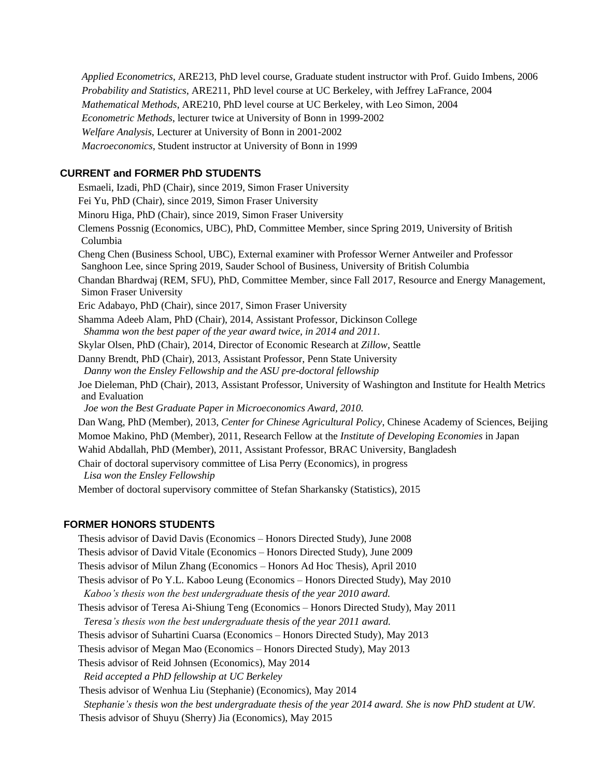*Applied Econometrics*, ARE213, PhD level course, Graduate student instructor with Prof. Guido Imbens, 2006 *Probability and Statistics*, ARE211, PhD level course at UC Berkeley, with Jeffrey LaFrance, 2004 *Mathematical Methods*, ARE210, PhD level course at UC Berkeley, with Leo Simon, 2004 *Econometric Methods*, lecturer twice at University of Bonn in 1999-2002 *Welfare Analysis*, Lecturer at University of Bonn in 2001-2002 *Macroeconomics,* Student instructor at University of Bonn in 1999

## **CURRENT and FORMER PhD STUDENTS**

 Esmaeli, Izadi, PhD (Chair), since 2019, Simon Fraser University Fei Yu, PhD (Chair), since 2019, Simon Fraser University Minoru Higa, PhD (Chair), since 2019, Simon Fraser University Clemens Possnig (Economics, UBC), PhD, Committee Member, since Spring 2019, University of British Columbia Cheng Chen (Business School, UBC), External examiner with Professor Werner Antweiler and Professor Sanghoon Lee, since Spring 2019, Sauder School of Business, University of British Columbia Chandan Bhardwaj (REM, SFU), PhD, Committee Member, since Fall 2017, Resource and Energy Management, Simon Fraser University Eric Adabayo, PhD (Chair), since 2017, Simon Fraser University Shamma Adeeb Alam, PhD (Chair), 2014, Assistant Professor, Dickinson College *Shamma won the best paper of the year award twice, in 2014 and 2011.*  Skylar Olsen, PhD (Chair), 2014, Director of Economic Research at *Zillow*, Seattle Danny Brendt, PhD (Chair), 2013, Assistant Professor, Penn State University *Danny won the Ensley Fellowship and the ASU pre-doctoral fellowship* Joe Dieleman, PhD (Chair), 2013, Assistant Professor, University of Washington and Institute for Health Metrics and Evaluation *Joe won the Best Graduate Paper in Microeconomics Award, 2010.*  Dan Wang, PhD (Member), 2013, *Center for Chinese Agricultural Policy*, Chinese Academy of Sciences, Beijing Momoe Makino, PhD (Member), 2011, Research Fellow at the *Institute of Developing Economies* in Japan Wahid Abdallah, PhD (Member), 2011, Assistant Professor, BRAC University, Bangladesh Chair of doctoral supervisory committee of Lisa Perry (Economics), in progress *Lisa won the Ensley Fellowship* Member of doctoral supervisory committee of Stefan Sharkansky (Statistics), 2015

## **FORMER HONORS STUDENTS**

 Thesis advisor of David Davis (Economics – Honors Directed Study), June 2008 Thesis advisor of David Vitale (Economics – Honors Directed Study), June 2009 Thesis advisor of Milun Zhang (Economics – Honors Ad Hoc Thesis), April 2010 Thesis advisor of Po Y.L. Kaboo Leung (Economics – Honors Directed Study), May 2010 *Kaboo's thesis won the best undergraduate thesis of the year 2010 award.*  Thesis advisor of Teresa Ai-Shiung Teng (Economics – Honors Directed Study), May 2011 *Teresa's thesis won the best undergraduate thesis of the year 2011 award.*  Thesis advisor of Suhartini Cuarsa (Economics – Honors Directed Study), May 2013 Thesis advisor of Megan Mao (Economics – Honors Directed Study), May 2013 Thesis advisor of Reid Johnsen (Economics), May 2014 *Reid accepted a PhD fellowship at UC Berkeley* Thesis advisor of Wenhua Liu (Stephanie) (Economics), May 2014 *Stephanie's thesis won the best undergraduate thesis of the year 2014 award. She is now PhD student at UW.* Thesis advisor of Shuyu (Sherry) Jia (Economics), May 2015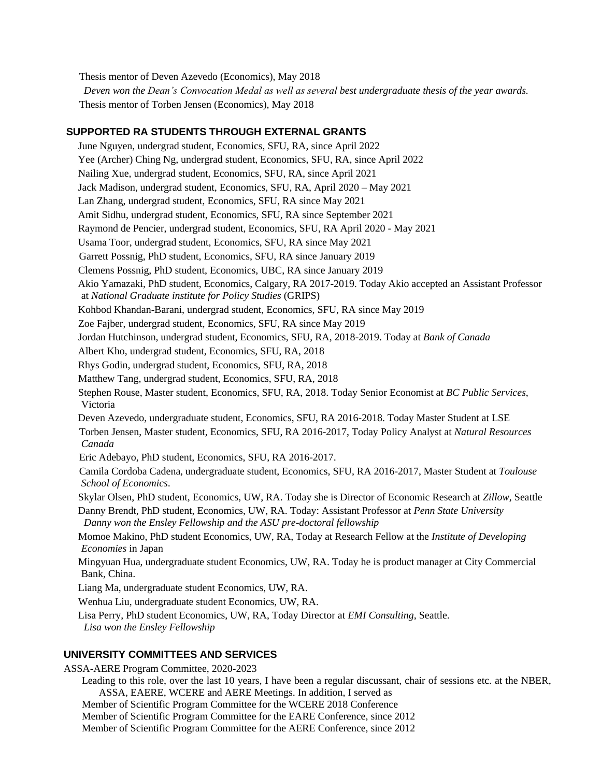Thesis mentor of Deven Azevedo (Economics), May 2018

*Deven won the Dean's Convocation Medal as well as several best undergraduate thesis of the year awards.*  Thesis mentor of Torben Jensen (Economics), May 2018

# **SUPPORTED RA STUDENTS THROUGH EXTERNAL GRANTS**

 June Nguyen, undergrad student, Economics, SFU, RA, since April 2022 Yee (Archer) Ching Ng, undergrad student, Economics, SFU, RA, since April 2022 Nailing Xue, undergrad student, Economics, SFU, RA, since April 2021 Jack Madison, undergrad student, Economics, SFU, RA, April 2020 – May 2021 Lan Zhang, undergrad student, Economics, SFU, RA since May 2021 Amit Sidhu, undergrad student, Economics, SFU, RA since September 2021 Raymond de Pencier, undergrad student, Economics, SFU, RA April 2020 - May 2021 Usama Toor, undergrad student, Economics, SFU, RA since May 2021 Garrett Possnig, PhD student, Economics, SFU, RA since January 2019 Clemens Possnig, PhD student, Economics, UBC, RA since January 2019 Akio Yamazaki, PhD student, Economics, Calgary, RA 2017-2019. Today Akio accepted an Assistant Professor at *National Graduate institute for Policy Studies* (GRIPS) Kohbod Khandan-Barani, undergrad student, Economics, SFU, RA since May 2019 Zoe Fajber, undergrad student, Economics, SFU, RA since May 2019 Jordan Hutchinson, undergrad student, Economics, SFU, RA, 2018-2019. Today at *Bank of Canada* Albert Kho, undergrad student, Economics, SFU, RA, 2018 Rhys Godin, undergrad student, Economics, SFU, RA, 2018 Matthew Tang, undergrad student, Economics, SFU, RA, 2018 Stephen Rouse, Master student, Economics, SFU, RA, 2018. Today Senior Economist at *BC Public Services*, Victoria Deven Azevedo, undergraduate student, Economics, SFU, RA 2016-2018. Today Master Student at LSE Torben Jensen, Master student, Economics, SFU, RA 2016-2017, Today Policy Analyst at *Natural Resources Canada* Eric Adebayo, PhD student, Economics, SFU, RA 2016-2017. Camila Cordoba Cadena, undergraduate student, Economics, SFU, RA 2016-2017, Master Student at *Toulouse School of Economics*. Skylar Olsen, PhD student, Economics, UW, RA. Today she is Director of Economic Research at *Zillow*, Seattle Danny Brendt, PhD student, Economics, UW, RA. Today: Assistant Professor at *Penn State University Danny won the Ensley Fellowship and the ASU pre-doctoral fellowship* Momoe Makino, PhD student Economics, UW, RA, Today at Research Fellow at the *Institute of Developing Economies* in Japan Mingyuan Hua, undergraduate student Economics, UW, RA. Today he is product manager at City Commercial Bank, China. Liang Ma, undergraduate student Economics, UW, RA. Wenhua Liu, undergraduate student Economics, UW, RA.

 Lisa Perry, PhD student Economics, UW, RA, Today Director at *EMI Consulting*, Seattle. *Lisa won the Ensley Fellowship*

# **UNIVERSITY COMMITTEES AND SERVICES**

ASSA-AERE Program Committee, 2020-2023

 Leading to this role, over the last 10 years, I have been a regular discussant, chair of sessions etc. at the NBER, ASSA, EAERE, WCERE and AERE Meetings. In addition, I served as Member of Scientific Program Committee for the WCERE 2018 Conference Member of Scientific Program Committee for the EARE Conference, since 2012

Member of Scientific Program Committee for the AERE Conference, since 2012